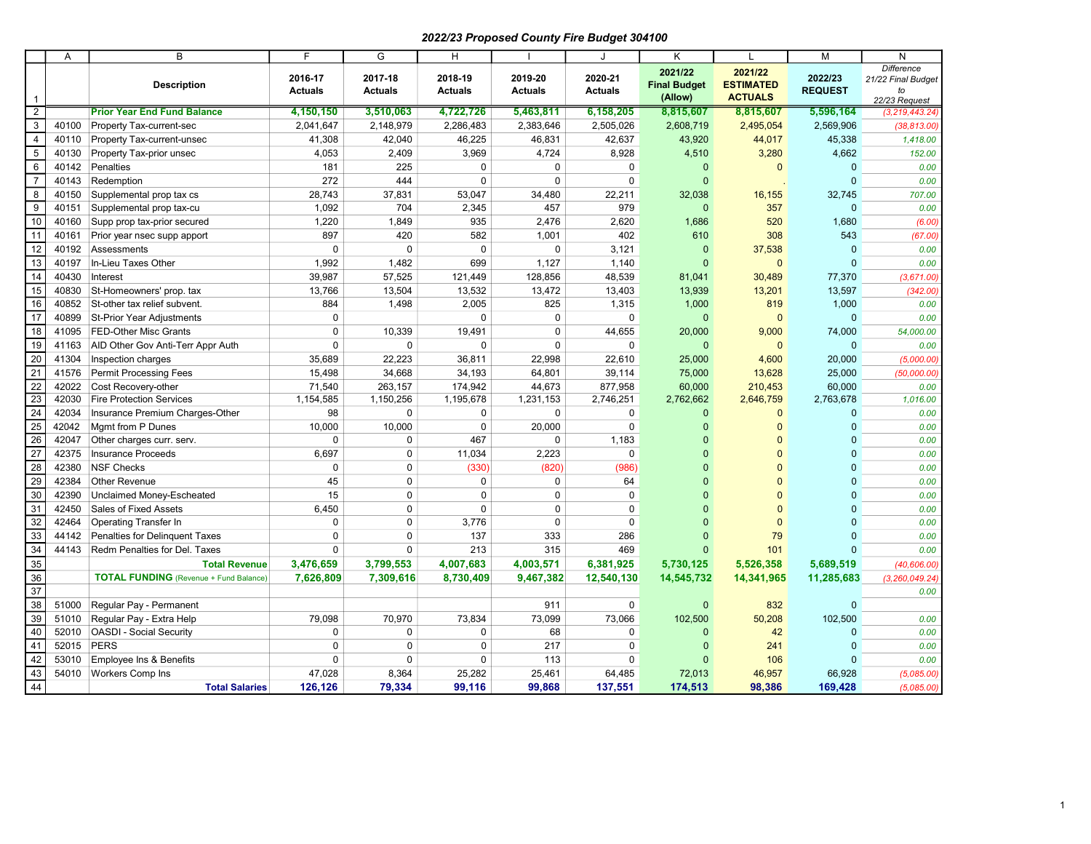## 2022/23 Proposed County Fire Budget 304100

|                                                                          | A     | B                                             | E                         | G                         | H                         |                           | J                         | K                                         |                                               | M                         | N                                                              |
|--------------------------------------------------------------------------|-------|-----------------------------------------------|---------------------------|---------------------------|---------------------------|---------------------------|---------------------------|-------------------------------------------|-----------------------------------------------|---------------------------|----------------------------------------------------------------|
| $\mathbf{1}$                                                             |       | <b>Description</b>                            | 2016-17<br><b>Actuals</b> | 2017-18<br><b>Actuals</b> | 2018-19<br><b>Actuals</b> | 2019-20<br><b>Actuals</b> | 2020-21<br><b>Actuals</b> | 2021/22<br><b>Final Budget</b><br>(Allow) | 2021/22<br><b>ESTIMATED</b><br><b>ACTUALS</b> | 2022/23<br><b>REQUEST</b> | <b>Difference</b><br>21/22 Final Budget<br>to<br>22/23 Request |
| $\overline{2}$                                                           |       | <b>Prior Year End Fund Balance</b>            | 4,150,150                 | 3,510,063                 | 4,722,726                 | 5,463,811                 | 6,158,205                 | 8,815,607                                 | 8,815,607                                     | 5,596,164                 | (3, 219, 443.24)                                               |
| $\ensuremath{\mathsf{3}}$                                                | 40100 | Property Tax-current-sec                      | 2,041,647                 | 2,148,979                 | 2,286,483                 | 2,383,646                 | 2,505,026                 | 2,608,719                                 | 2,495,054                                     | 2,569,906                 | (38, 813.00)                                                   |
| $\overline{4}$                                                           | 40110 | Property Tax-current-unsec                    | 41,308                    | 42,040                    | 46,225                    | 46,831                    | 42,637                    | 43,920                                    | 44,017                                        | 45,338                    | 1,418.00                                                       |
| 5                                                                        | 40130 | Property Tax-prior unsec                      | 4,053                     | 2,409                     | 3,969                     | 4,724                     | 8,928                     | 4,510                                     | 3,280                                         | 4,662                     | 152.00                                                         |
| 6                                                                        | 40142 | Penalties                                     | 181                       | 225                       | $\Omega$                  | $\mathbf 0$               | $\mathbf 0$               | $\mathbf{0}$                              | $\mathbf{0}$                                  | $\Omega$                  | 0.00                                                           |
| $\overline{7}$                                                           | 40143 | Redemption                                    | 272                       | 444                       | $\mathbf 0$               | $\mathbf 0$               | $\mathbf 0$               | $\mathbf{0}$                              |                                               | $\Omega$                  | 0.00                                                           |
| $\overline{\mathbf{8}}$                                                  | 40150 | Supplemental prop tax cs                      | 28,743                    | 37,831                    | 53,047                    | 34,480                    | 22,211                    | 32,038                                    | 16,155                                        | 32,745                    | 707.00                                                         |
| 9                                                                        | 40151 | Supplemental prop tax-cu                      | 1,092                     | 704                       | 2,345                     | 457                       | 979                       | $\overline{0}$                            | 357                                           | $\Omega$                  | 0.00                                                           |
| 10                                                                       | 40160 | Supp prop tax-prior secured                   | 1,220                     | 1,849                     | 935                       | 2,476                     | 2,620                     | 1,686                                     | 520                                           | 1,680                     | (6.00)                                                         |
| 11                                                                       | 40161 | Prior year nsec supp apport                   | 897                       | 420                       | 582                       | 1,001                     | 402                       | 610                                       | 308                                           | 543                       | (67.00)                                                        |
| 12                                                                       | 40192 | Assessments                                   | 0                         | $\Omega$                  | $\Omega$                  | $\mathbf 0$               | 3,121                     | $\mathbf 0$                               | 37,538                                        | $\Omega$                  | 0.00                                                           |
| 13                                                                       | 40197 | In-Lieu Taxes Other                           | 1,992                     | 1,482                     | 699                       | 1,127                     | 1,140                     | $\mathbf{0}$                              | $\mathbf{0}$                                  | $\overline{0}$            | 0.00                                                           |
| 14                                                                       | 40430 | Interest                                      | 39,987                    | 57,525                    | 121,449                   | 128,856                   | 48,539                    | 81,041                                    | 30,489                                        | 77,370                    | (3,671.00)                                                     |
| 15                                                                       | 40830 | St-Homeowners' prop. tax                      | 13,766                    | 13,504                    | 13,532                    | 13,472                    | 13,403                    | 13,939                                    | 13,201                                        | 13,597                    | (342.00)                                                       |
| 16                                                                       | 40852 | St-other tax relief subvent.                  | 884                       | 1,498                     | 2,005                     | 825                       | 1,315                     | 1,000                                     | 819                                           | 1,000                     | 0.00                                                           |
| 17                                                                       | 40899 | <b>St-Prior Year Adjustments</b>              | $\mathbf 0$               |                           | $\Omega$                  | $\mathbf 0$               | $\Omega$                  | $\Omega$                                  | $\mathbf{0}$                                  | $\Omega$                  | 0.00                                                           |
| 18                                                                       | 41095 | <b>FED-Other Misc Grants</b>                  | $\pmb{0}$                 | 10,339                    | 19,491                    | $\pmb{0}$                 | 44,655                    | 20,000                                    | 9,000                                         | 74,000                    | 54,000.00                                                      |
| 19                                                                       | 41163 | AID Other Gov Anti-Terr Appr Auth             | $\mathbf 0$               | 0                         | $\mathbf 0$               | $\mathbf 0$               | 0                         | $\mathbf{0}$                              | $\mathbf 0$                                   | $\mathbf 0$               | 0.00                                                           |
| $\frac{20}{21}$                                                          | 41304 | Inspection charges                            | 35,689                    | 22,223                    | 36,811                    | 22,998                    | 22,610                    | 25,000                                    | 4,600                                         | 20,000                    | (5,000.00)                                                     |
|                                                                          | 41576 | <b>Permit Processing Fees</b>                 | 15,498                    | 34,668                    | 34,193                    | 64,801                    | 39,114                    | 75,000                                    | 13,628                                        | 25,000                    | (50,000.00)                                                    |
|                                                                          | 42022 | Cost Recovery-other                           | 71,540                    | 263,157                   | 174,942                   | 44,673                    | 877,958                   | 60,000                                    | 210,453                                       | 60,000                    | 0.00                                                           |
|                                                                          | 42030 | <b>Fire Protection Services</b>               | 1,154,585                 | 1,150,256                 | 1,195,678                 | 1,231,153                 | 2,746,251                 | 2,762,662                                 | 2,646,759                                     | 2,763,678                 | 1,016.00                                                       |
| $\begin{array}{r} 22 \\ \hline 23 \\ \hline 24 \\ \hline 25 \end{array}$ | 42034 | Insurance Premium Charges-Other               | 98                        | 0                         | 0                         | $\mathbf 0$               | 0                         | $\mathbf{0}$                              | $\mathbf{0}$                                  | $\Omega$                  | 0.00                                                           |
|                                                                          | 42042 | Mgmt from P Dunes                             | 10,000                    | 10,000                    | $\mathbf 0$               | 20,000                    | $\mathbf 0$               | $\mathbf{0}$                              | $\mathbf{0}$                                  | $\Omega$                  | 0.00                                                           |
| $\overline{26}$                                                          | 42047 | Other charges curr. serv.                     | $\mathbf 0$               | $\mathbf 0$               | 467                       | $\mathbf 0$               | 1,183                     | $\Omega$                                  | $\Omega$                                      | $\Omega$                  | 0.00                                                           |
| $\begin{array}{r} 27 \\ 28 \\ 29 \end{array}$                            | 42375 | <b>Insurance Proceeds</b>                     | 6,697                     | $\mathbf 0$               | 11,034                    | 2,223                     | $\mathbf 0$               | $\Omega$                                  | $\Omega$                                      | $\Omega$                  | 0.00                                                           |
|                                                                          | 42380 | <b>NSF Checks</b>                             | $\mathbf 0$               | $\Omega$                  | (330)                     | (820)                     | (986)                     | $\Omega$                                  | $\Omega$                                      | $\Omega$                  | 0.00                                                           |
|                                                                          | 42384 | Other Revenue                                 | 45                        | $\Omega$                  | $\Omega$                  | $\Omega$                  | 64                        |                                           | $\Omega$                                      | $\Omega$                  | 0.00                                                           |
| 30                                                                       | 42390 | Unclaimed Money-Escheated                     | 15                        | 0                         | $\mathbf 0$               | $\pmb{0}$                 | $\mathsf 0$               |                                           | $\Omega$                                      | $\Omega$                  | 0.00                                                           |
| $\frac{31}{32}$                                                          | 42450 | Sales of Fixed Assets                         | 6,450                     | 0                         | $\mathbf 0$               | $\mathbf 0$               | $\mathbf 0$               |                                           | $\Omega$                                      | $\Omega$                  | 0.00                                                           |
|                                                                          | 42464 | Operating Transfer In                         | $\mathbf 0$               | $\mathbf 0$               | 3,776                     | $\mathbf 0$               | $\mathbf 0$               |                                           | $\mathbf{0}$                                  | $\Omega$                  | 0.00                                                           |
|                                                                          | 44142 | Penalties for Delinguent Taxes                | $\Omega$                  | $\Omega$                  | 137                       | 333                       | 286                       | $\Omega$                                  | 79                                            | $\Omega$                  | 0.00                                                           |
|                                                                          | 44143 | Redm Penalties for Del. Taxes                 | $\Omega$                  | $\Omega$                  | 213                       | 315                       | 469                       | $\Omega$                                  | 101                                           | $\Omega$                  | 0.00                                                           |
| $\begin{array}{r} 33 \\ 34 \\ 35 \end{array}$                            |       | <b>Total Revenue</b>                          | 3,476,659                 | 3,799,553                 | 4,007,683                 | 4,003,571                 | 6,381,925                 | 5,730,125                                 | 5,526,358                                     | 5,689,519                 | (40, 606.00)                                                   |
| $\frac{36}{37}$                                                          |       | <b>TOTAL FUNDING</b> (Revenue + Fund Balance) | 7,626,809                 | 7,309,616                 | 8,730,409                 | 9,467,382                 | 12,540,130                | 14,545,732                                | 14,341,965                                    | 11,285,683                | (3, 260, 049.24)                                               |
|                                                                          |       |                                               |                           |                           |                           |                           |                           |                                           |                                               |                           | 0.00                                                           |
| 38                                                                       | 51000 | Regular Pay - Permanent                       |                           |                           |                           | 911                       | $\mathbf 0$               | $\mathbf{0}$                              | 832                                           | $\Omega$                  |                                                                |
| 39                                                                       | 51010 | Regular Pay - Extra Help                      | 79,098                    | 70,970                    | 73,834                    | 73,099                    | 73,066                    | 102,500                                   | 50,208                                        | 102,500                   | 0.00                                                           |
| 40                                                                       | 52010 | <b>OASDI - Social Security</b>                | 0                         | 0                         | 0                         | 68                        | $\mathbf 0$               | $\Omega$                                  | 42                                            | $\Omega$                  | 0.00                                                           |
| 41                                                                       | 52015 | <b>PERS</b>                                   | $\mathbf 0$               | 0                         | $\mathbf 0$               | 217                       | 0                         | $\Omega$                                  | 241                                           | $\Omega$                  | 0.00                                                           |
| 42                                                                       | 53010 | Employee Ins & Benefits                       | $\mathbf 0$               | $\mathbf 0$               | 0                         | 113                       | 0                         | O                                         | 106                                           | $\Omega$                  | 0.00                                                           |
| 43                                                                       | 54010 | Workers Comp Ins                              | 47,028                    | 8,364                     | 25,282                    | 25,461                    | 64,485                    | 72,013                                    | 46,957                                        | 66,928                    | (5,085.00)                                                     |
| 44                                                                       |       | <b>Total Salaries</b>                         | 126,126                   | 79.334                    | 99.116                    | 99.868                    | 137,551                   | 174,513                                   | 98,386                                        | 169,428                   | (5,085.00)                                                     |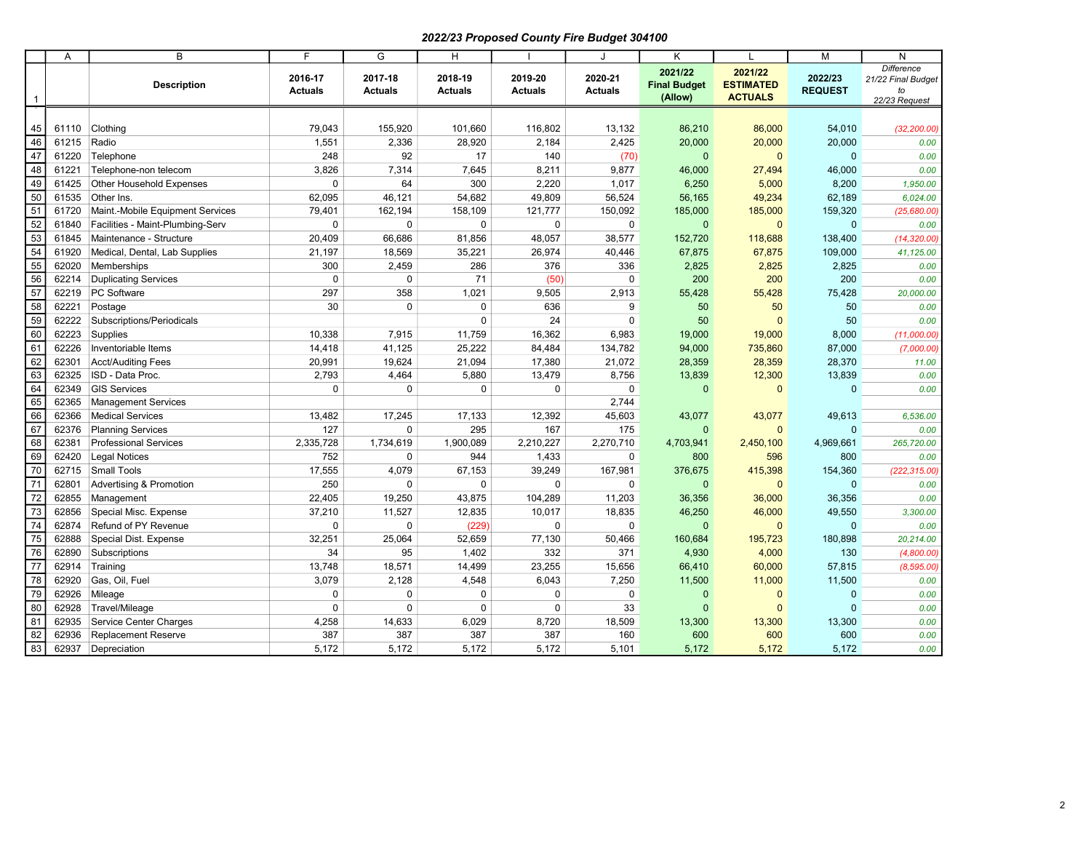## 2022/23 Proposed County Fire Budget 304100

|                                 | Α     | $\overline{B}$                   | $\overline{F}$            | $\overline{G}$            | $\overline{H}$            |                           | J                         | $\overline{\mathsf{K}}$                   | $\mathbf{I}$                                  | $\overline{M}$            | $\overline{N}$                                                 |
|---------------------------------|-------|----------------------------------|---------------------------|---------------------------|---------------------------|---------------------------|---------------------------|-------------------------------------------|-----------------------------------------------|---------------------------|----------------------------------------------------------------|
| -1                              |       | <b>Description</b>               | 2016-17<br><b>Actuals</b> | 2017-18<br><b>Actuals</b> | 2018-19<br><b>Actuals</b> | 2019-20<br><b>Actuals</b> | 2020-21<br><b>Actuals</b> | 2021/22<br><b>Final Budget</b><br>(Allow) | 2021/22<br><b>ESTIMATED</b><br><b>ACTUALS</b> | 2022/23<br><b>REQUEST</b> | <b>Difference</b><br>21/22 Final Budget<br>to<br>22/23 Request |
|                                 |       |                                  |                           |                           |                           |                           |                           |                                           |                                               |                           |                                                                |
| 45                              | 61110 | Clothing                         | 79,043                    | 155,920                   | 101,660                   | 116,802                   | 13,132                    | 86,210                                    | 86,000                                        | 54,010                    | (32, 200.00)                                                   |
| 46                              | 61215 | Radio                            | 1,551                     | 2,336                     | 28,920                    | 2,184                     | 2,425                     | 20,000                                    | 20,000                                        | 20,000                    | 0.00                                                           |
| 47                              | 61220 | Telephone                        | 248                       | 92                        | 17                        | 140                       | (70)                      | $\mathbf{0}$                              | $\mathbf{0}$                                  | $\mathbf{0}$              | 0.00                                                           |
| $\frac{1}{48}$                  | 61221 | Telephone-non telecom            | 3,826                     | 7,314                     | 7,645                     | 8,211                     | 9,877                     | 46,000                                    | 27,494                                        | 46,000                    | 0.00                                                           |
| $\frac{1}{49}$                  | 61425 | Other Household Expenses         | $\mathbf 0$               | 64                        | 300                       | 2,220                     | 1,017                     | 6,250                                     | 5,000                                         | 8,200                     | 1,950.00                                                       |
|                                 | 61535 | Other Ins.                       | 62,095                    | 46,121                    | 54,682                    | 49,809                    | 56,524                    | 56,165                                    | 49,234                                        | 62,189                    | 6,024.00                                                       |
|                                 | 61720 | Maint.-Mobile Equipment Services | 79,401                    | 162,194                   | 158,109                   | 121,777                   | 150,092                   | 185,000                                   | 185,000                                       | 159,320                   | (25,680.00)                                                    |
|                                 | 61840 | Facilities - Maint-Plumbing-Serv | $\mathbf 0$               | $\mathbf 0$               | $\mathbf 0$               | $\mathbf 0$               | $\mathbf 0$               | $\mathbf{0}$                              | $\mathbf{0}$                                  | $\mathbf{0}$              | 0.00                                                           |
|                                 | 61845 | Maintenance - Structure          | 20,409                    | 66,686                    | 81,856                    | 48,057                    | 38,577                    | 152,720                                   | 118,688                                       | 138,400                   | (14, 320.00)                                                   |
|                                 | 61920 | Medical, Dental, Lab Supplies    | 21,197                    | 18,569                    | 35,221                    | 26,974                    | 40,446                    | 67,875                                    | 67,875                                        | 109,000                   | 41,125.00                                                      |
|                                 | 62020 | Memberships                      | 300                       | 2,459                     | 286                       | 376                       | 336                       | 2,825                                     | 2,825                                         | 2,825                     | 0.00                                                           |
|                                 | 62214 | <b>Duplicating Services</b>      | $\mathbf 0$               | $\mathbf 0$               | 71                        | (50)                      | $\mathbf 0$               | 200                                       | 200                                           | 200                       | 0.00                                                           |
|                                 | 62219 | PC Software                      | 297                       | 358                       | 1,021                     | 9,505                     | 2,913                     | 55,428                                    | 55,428                                        | 75,428                    | 20,000.00                                                      |
|                                 | 62221 | Postage                          | 30                        | $\mathbf 0$               | $\pmb{0}$                 | 636                       | 9                         | 50                                        | 50                                            | 50                        | 0.00                                                           |
|                                 | 62222 | Subscriptions/Periodicals        |                           |                           | $\Omega$                  | 24                        | $\mathbf 0$               | 50                                        | $\mathbf{0}$                                  | 50                        | 0.00                                                           |
|                                 | 62223 | Supplies                         | 10,338                    | 7,915                     | 11,759                    | 16,362                    | 6,983                     | 19,000                                    | 19,000                                        | 8,000                     | (11,000.00)                                                    |
|                                 | 62226 | Inventoriable Items              | 14,418                    | 41,125                    | 25,222                    | 84,484                    | 134,782                   | 94,000                                    | 735,860                                       | 87,000                    | (7,000.00)                                                     |
|                                 | 62301 | Acct/Auditing Fees               | 20,991                    | 19,624                    | 21,094                    | 17,380                    | 21,072                    | 28,359                                    | 28,359                                        | 28,370                    | 11.00                                                          |
|                                 | 62325 | ISD - Data Proc.                 | 2,793                     | 4,464                     | 5,880                     | 13,479                    | 8,756                     | 13,839                                    | 12,300                                        | 13,839                    | 0.00                                                           |
|                                 | 62349 | <b>GIS Services</b>              | $\mathbf 0$               | $\mathbf 0$               | $\mathbf 0$               | $\mathbf 0$               | $\mathbf 0$               | $\mathbf{0}$                              | $\mathbf{0}$                                  | $\mathbf{0}$              | 0.00                                                           |
|                                 | 62365 | Management Services              |                           |                           |                           |                           | 2,744                     |                                           |                                               |                           |                                                                |
|                                 | 62366 | <b>Medical Services</b>          | 13,482                    | 17,245                    | 17,133                    | 12,392                    | 45,603                    | 43,077                                    | 43,077                                        | 49,613                    | 6,536.00                                                       |
|                                 | 62376 | <b>Planning Services</b>         | 127                       | $\mathbf 0$               | 295                       | 167                       | 175                       | $\mathbf{0}$                              | $\mathbf{0}$                                  | $\mathbf{0}$              | 0.00                                                           |
|                                 | 62381 | <b>Professional Services</b>     | 2,335,728                 | 1,734,619                 | 1,900,089                 | 2,210,227                 | 2,270,710                 | 4,703,941                                 | 2,450,100                                     | 4,969,661                 | 265,720.00                                                     |
|                                 | 62420 | <b>Legal Notices</b>             | 752                       | 0                         | 944                       | 1,433                     | $\mathbf 0$               | 800                                       | 596                                           | 800                       | 0.00                                                           |
|                                 | 62715 | <b>Small Tools</b>               | 17,555                    | 4,079                     | 67,153                    | 39,249                    | 167,981                   | 376,675                                   | 415,398                                       | 154,360                   | (222, 315.00)                                                  |
|                                 | 62801 | Advertising & Promotion          | 250                       | $\Omega$                  | $\Omega$                  | $\mathbf 0$               | $\mathbf 0$               | $\mathbf{0}$                              | $\mathbf{0}$                                  | $\mathbf{0}$              | 0.00                                                           |
|                                 | 62855 | Management                       | 22,405                    | 19,250                    | 43,875                    | 104,289                   | 11,203                    | 36,356                                    | 36,000                                        | 36,356                    | 0.00                                                           |
|                                 | 62856 | Special Misc. Expense            | 37,210                    | 11,527                    | 12,835                    | 10,017                    | 18,835                    | 46,250                                    | 46,000                                        | 49,550                    | 3,300.00                                                       |
|                                 | 62874 | Refund of PY Revenue             | $\mathbf 0$               | $\pmb{0}$                 | (229)                     | $\mathbf 0$               | $\mathbf 0$               | $\mathbf{0}$                              | $\mathbf 0$                                   | $\mathbf{0}$              | 0.00                                                           |
|                                 | 62888 | Special Dist. Expense            | 32,251                    | 25,064                    | 52,659                    | 77,130                    | 50,466                    | 160,684                                   | 195,723                                       | 180,898                   | 20,214.00                                                      |
|                                 | 62890 | Subscriptions                    | 34                        | 95                        | 1,402                     | 332                       | 371                       | 4,930                                     | 4,000                                         | 130                       | (4,800.00)                                                     |
|                                 | 62914 | Training                         | 13,748                    | 18,571                    | 14,499                    | 23,255                    | 15,656                    | 66,410                                    | 60,000                                        | 57,815                    | (8, 595.00)                                                    |
|                                 | 62920 | Gas, Oil, Fuel                   | 3,079                     | 2,128                     | 4,548                     | 6,043                     | 7,250                     | 11,500                                    | 11,000                                        | 11,500                    | 0.00                                                           |
| $\frac{79}{80}$                 | 62926 | Mileage                          | $\mathbf 0$               | 0                         | $\mathbf 0$               | $\mathbf 0$               | $\mathbf 0$               | $\mathbf{0}$                              | $\mathbf 0$                                   | $\mathbf 0$               | 0.00                                                           |
|                                 | 62928 | Travel/Mileage                   | $\pmb{0}$                 | 0                         | $\pmb{0}$                 | $\pmb{0}$                 | 33                        | $\mathbf 0$                               | $\mathbf 0$                                   | $\mathbf{0}$              | 0.00                                                           |
| $\frac{81}{82}$ $\frac{82}{83}$ | 62935 | Service Center Charges           | 4,258                     | 14,633                    | 6,029                     | 8,720                     | 18,509                    | 13,300                                    | 13,300                                        | 13,300                    | 0.00                                                           |
|                                 | 62936 | <b>Replacement Reserve</b>       | 387                       | 387                       | 387                       | 387                       | 160                       | 600                                       | 600                                           | 600                       | 0.00                                                           |
|                                 | 62937 | Depreciation                     | 5,172                     | 5,172                     | 5,172                     | 5,172                     | 5,101                     | 5,172                                     | 5,172                                         | 5,172                     | 0.00                                                           |